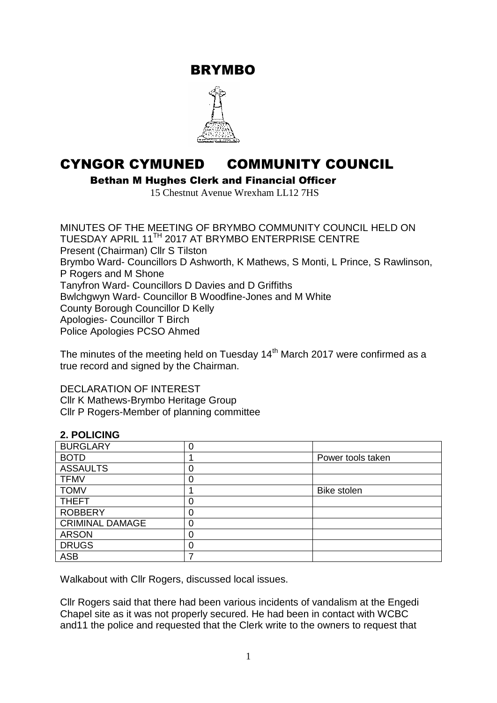BRYMBO



# CYNGOR CYMUNED COMMUNITY COUNCIL

Bethan M Hughes Clerk and Financial Officer

15 Chestnut Avenue Wrexham LL12 7HS

MINUTES OF THE MEETING OF BRYMBO COMMUNITY COUNCIL HELD ON TUESDAY APRIL 11TH 2017 AT BRYMBO ENTERPRISE CENTRE Present (Chairman) Cllr S Tilston Brymbo Ward- Councillors D Ashworth, K Mathews, S Monti, L Prince, S Rawlinson, P Rogers and M Shone Tanyfron Ward- Councillors D Davies and D Griffiths Bwlchgwyn Ward- Councillor B Woodfine-Jones and M White County Borough Councillor D Kelly Apologies- Councillor T Birch Police Apologies PCSO Ahmed

The minutes of the meeting held on Tuesday 14<sup>th</sup> March 2017 were confirmed as a true record and signed by the Chairman.

DECLARATION OF INTEREST

Cllr K Mathews-Brymbo Heritage Group Cllr P Rogers-Member of planning committee

## **2. POLICING**

| <b>BURGLARY</b>        |   |                   |
|------------------------|---|-------------------|
| <b>BOTD</b>            |   | Power tools taken |
| <b>ASSAULTS</b>        |   |                   |
| <b>TFMV</b>            |   |                   |
| <b>TOMV</b>            |   | Bike stolen       |
| <b>THEFT</b>           |   |                   |
| <b>ROBBERY</b>         |   |                   |
| <b>CRIMINAL DAMAGE</b> | 0 |                   |
| <b>ARSON</b>           |   |                   |
| <b>DRUGS</b>           |   |                   |
| <b>ASB</b>             |   |                   |

Walkabout with Cllr Rogers, discussed local issues.

Cllr Rogers said that there had been various incidents of vandalism at the Engedi Chapel site as it was not properly secured. He had been in contact with WCBC and11 the police and requested that the Clerk write to the owners to request that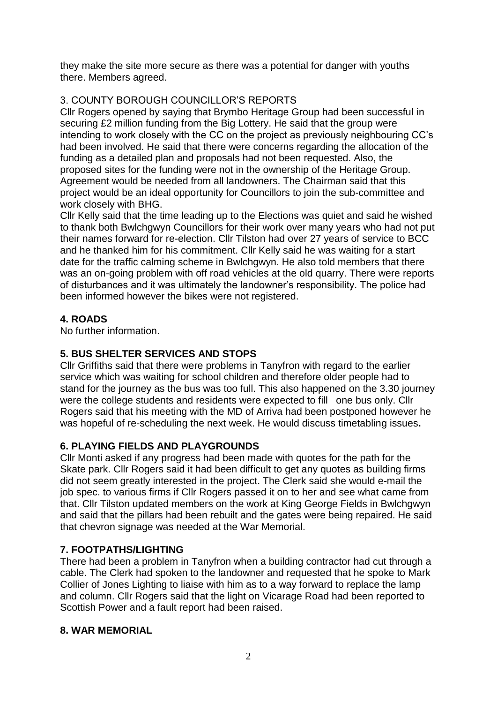they make the site more secure as there was a potential for danger with youths there. Members agreed.

# 3. COUNTY BOROUGH COUNCILLOR'S REPORTS

Cllr Rogers opened by saying that Brymbo Heritage Group had been successful in securing £2 million funding from the Big Lottery. He said that the group were intending to work closely with the CC on the project as previously neighbouring CC's had been involved. He said that there were concerns regarding the allocation of the funding as a detailed plan and proposals had not been requested. Also, the proposed sites for the funding were not in the ownership of the Heritage Group. Agreement would be needed from all landowners. The Chairman said that this project would be an ideal opportunity for Councillors to join the sub-committee and work closely with BHG.

Cllr Kelly said that the time leading up to the Elections was quiet and said he wished to thank both Bwlchgwyn Councillors for their work over many years who had not put their names forward for re-election. Cllr Tilston had over 27 years of service to BCC and he thanked him for his commitment. Cllr Kelly said he was waiting for a start date for the traffic calming scheme in Bwlchgwyn. He also told members that there was an on-going problem with off road vehicles at the old quarry. There were reports of disturbances and it was ultimately the landowner's responsibility. The police had been informed however the bikes were not registered.

## **4. ROADS**

No further information.

## **5. BUS SHELTER SERVICES AND STOPS**

Cllr Griffiths said that there were problems in Tanyfron with regard to the earlier service which was waiting for school children and therefore older people had to stand for the journey as the bus was too full. This also happened on the 3.30 journey were the college students and residents were expected to fill one bus only. Cllr Rogers said that his meeting with the MD of Arriva had been postponed however he was hopeful of re-scheduling the next week. He would discuss timetabling issues**.**

# **6. PLAYING FIELDS AND PLAYGROUNDS**

Cllr Monti asked if any progress had been made with quotes for the path for the Skate park. Cllr Rogers said it had been difficult to get any quotes as building firms did not seem greatly interested in the project. The Clerk said she would e-mail the job spec. to various firms if Cllr Rogers passed it on to her and see what came from that. Cllr Tilston updated members on the work at King George Fields in Bwlchgwyn and said that the pillars had been rebuilt and the gates were being repaired. He said that chevron signage was needed at the War Memorial.

# **7. FOOTPATHS/LIGHTING**

There had been a problem in Tanyfron when a building contractor had cut through a cable. The Clerk had spoken to the landowner and requested that he spoke to Mark Collier of Jones Lighting to liaise with him as to a way forward to replace the lamp and column. Cllr Rogers said that the light on Vicarage Road had been reported to Scottish Power and a fault report had been raised.

## **8. WAR MEMORIAL**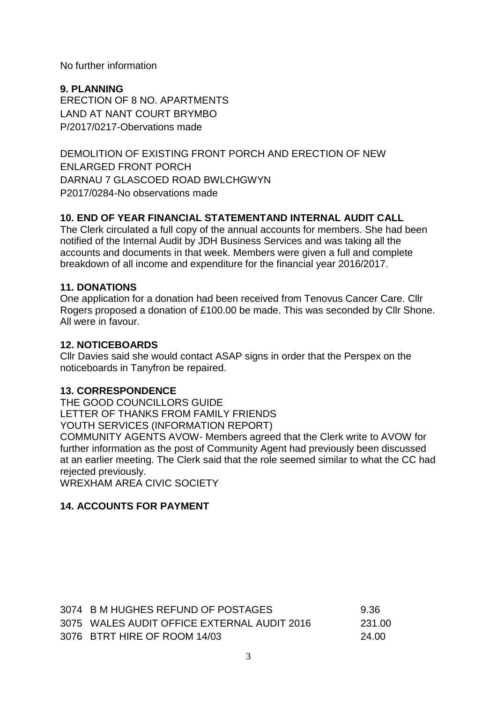No further information

**9. PLANNING** ERECTION OF 8 NO. APARTMENTS LAND AT NANT COURT BRYMBO P/2017/0217-Obervations made

DEMOLITION OF EXISTING FRONT PORCH AND ERECTION OF NEW ENLARGED FRONT PORCH DARNAU 7 GLASCOED ROAD BWLCHGWYN P2017/0284-No observations made

## **10. END OF YEAR FINANCIAL STATEMENTAND INTERNAL AUDIT CALL**

The Clerk circulated a full copy of the annual accounts for members. She had been notified of the Internal Audit by JDH Business Services and was taking all the accounts and documents in that week. Members were given a full and complete breakdown of all income and expenditure for the financial year 2016/2017.

#### **11. DONATIONS**

One application for a donation had been received from Tenovus Cancer Care. Cllr Rogers proposed a donation of £100.00 be made. This was seconded by Cllr Shone. All were in favour.

#### **12. NOTICEBOARDS**

Cllr Davies said she would contact ASAP signs in order that the Perspex on the noticeboards in Tanyfron be repaired.

## **13. CORRESPONDENCE**

THE GOOD COUNCILLORS GUIDE LETTER OF THANKS FROM FAMILY FRIENDS YOUTH SERVICES (INFORMATION REPORT) COMMUNITY AGENTS AVOW- Members agreed that the Clerk write to AVOW for further information as the post of Community Agent had previously been discussed at an earlier meeting. The Clerk said that the role seemed similar to what the CC had rejected previously. WREXHAM AREA CIVIC SOCIETY

## **14. ACCOUNTS FOR PAYMENT**

| 3074 B M HUGHES REFUND OF POSTAGES          | 9.36    |
|---------------------------------------------|---------|
| 3075 WALES AUDIT OFFICE EXTERNAL AUDIT 2016 | -231.00 |
| 3076 BTRT HIRE OF ROOM 14/03                | 24.00   |